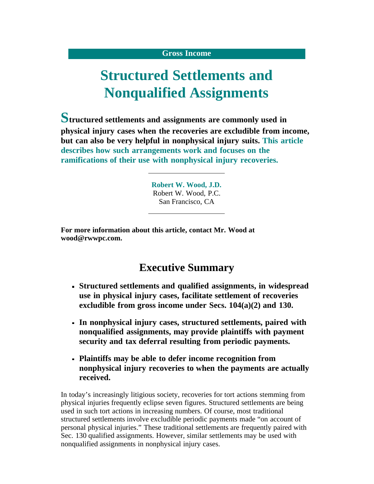#### **Gross Income**

# **Structured Settlements and Nonqualified Assignments**

**Structured settlements and assignments are commonly used in physical injury cases when the recoveries are excludible from income, but can also be very helpful in nonphysical injury suits. This article describes how such arrangements work and focuses on the ramifications of their use with nonphysical injury recoveries.**

> **Robert W. Wood, J.D.** Robert W. Wood, P.C. San Francisco, CA

**For more information about this article, contact Mr. Wood at [wood@rwwpc.com.](mailto:wood@rwwpc.com)**

## **Executive Summary**

- **Structured settlements and qualified assignments, in widespread use in physical injury cases, facilitate settlement of recoveries excludible from gross income under Secs. 104(a)(2) and 130.**
- **In nonphysical injury cases, structured settlements, paired with nonqualified assignments, may provide plaintiffs with payment security and tax deferral resulting from periodic payments.**
- **Plaintiffs may be able to defer income recognition from nonphysical injury recoveries to when the payments are actually received.**

In today's increasingly litigious society, recoveries for tort actions stemming from physical injuries frequently eclipse seven figures. Structured settlements are being used in such tort actions in increasing numbers. Of course, most traditional structured settlements involve excludible periodic payments made "on account of personal physical injuries." These traditional settlements are frequently paired with Sec. 130 qualified assignments. However, similar settlements may be used with nonqualified assignments in nonphysical injury cases.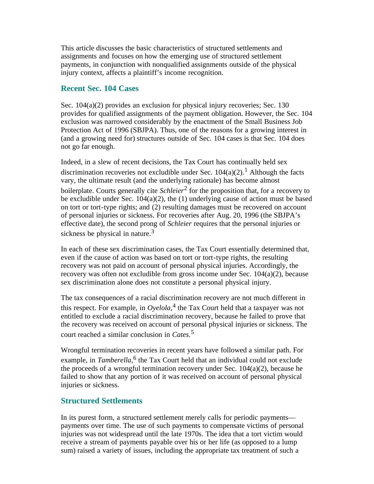This article discusses the basic characteristics of structured settlements and assignments and focuses on how the emerging use of structured settlement payments, in conjunction with nonqualified assignments outside of the physical injury context, affects a plaintiff's income recognition.

#### **Recent Sec. 104 Cases**

Sec. 104(a)(2) provides an exclusion for physical injury recoveries; Sec. 130 provides for qualified assignments of the payment obligation. However, the Sec. 104 exclusion was narrowed considerably by the enactment of the Small Business Job Protection Act of 1996 (SBJPA). Thus, one of the reasons for a growing interest in (and a growing need for) structures outside of Sec. 104 cases is that Sec. 104 does not go far enough.

Indeed, in a slew of recent decisions, the Tax Court has continually held sex discrimination recoveries not excludible under Sec.  $104(a)(2)$ .<sup>1</sup> Although the facts vary, the ultimate result (and the underlying rationale) has become almost boilerplate. Courts generally cite *Schleier*[2](#page-8-1) for the proposition that, for a recovery to be excludible under Sec. 104(a)(2), the (1) underlying cause of action must be based on tort or tort-type rights; and (2) resulting damages must be recovered on account of personal injuries or sickness. For recoveries after Aug. 20, 1996 (the SBJPA's effective date), the second prong of *Schleier* requires that the personal injuries or sickness be physical in nature.<sup>[3](#page-8-2)</sup>

In each of these sex discrimination cases, the Tax Court essentially determined that, even if the cause of action was based on tort or tort-type rights, the resulting recovery was not paid on account of personal physical injuries. Accordingly, the recovery was often not excludible from gross income under Sec.  $104(a)(2)$ , because sex discrimination alone does not constitute a personal physical injury.

The tax consequences of a racial discrimination recovery are not much different in this respect. For example, in  $O$ *yelola*,<sup>[4](#page-8-3)</sup> the Tax Court held that a taxpayer was not entitled to exclude a racial discrimination recovery, because he failed to prove that the recovery was received on account of personal physical injuries or sickness. The court reached a similar conclusion in *Cates.*[5](#page-8-4)

Wrongful termination recoveries in recent years have followed a similar path. For example, in *Tamberella*,<sup>[6](#page-8-5)</sup> the Tax Court held that an individual could not exclude the proceeds of a wrongful termination recovery under Sec.  $104(a)(2)$ , because he failed to show that any portion of it was received on account of personal physical injuries or sickness.

## **Structured Settlements**

In its purest form, a structured settlement merely calls for periodic payments payments over time. The use of such payments to compensate victims of personal injuries was not widespread until the late 1970s. The idea that a tort victim would receive a stream of payments payable over his or her life (as opposed to a lump sum) raised a variety of issues, including the appropriate tax treatment of such a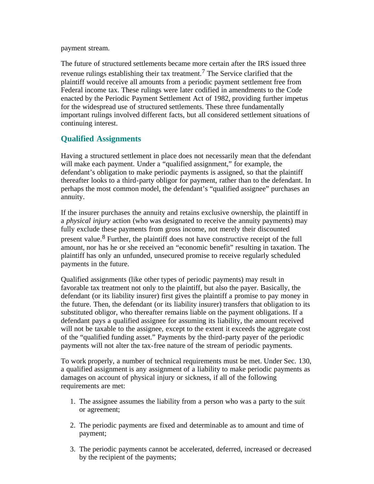payment stream.

The future of structured settlements became more certain after the IRS issued three revenue rulings establishing their tax treatment.<sup>[7](#page-8-6)</sup> The Service clarified that the plaintiff would receive all amounts from a periodic payment settlement free from Federal income tax. These rulings were later codified in amendments to the Code enacted by the Periodic Payment Settlement Act of 1982, providing further impetus for the widespread use of structured settlements. These three fundamentally important rulings involved different facts, but all considered settlement situations of continuing interest.

## **Qualified Assignments**

Having a structured settlement in place does not necessarily mean that the defendant will make each payment. Under a "qualified assignment," for example, the defendant's obligation to make periodic payments is assigned, so that the plaintiff thereafter looks to a third-party obligor for payment, rather than to the defendant. In perhaps the most common model, the defendant's "qualified assignee" purchases an annuity.

If the insurer purchases the annuity and retains exclusive ownership, the plaintiff in a *physical injury* action (who was designated to receive the annuity payments) may fully exclude these payments from gross income, not merely their discounted present value.[8](#page-8-7) Further, the plaintiff does not have constructive receipt of the full amount, nor has he or she received an "economic benefit" resulting in taxation. The plaintiff has only an unfunded, unsecured promise to receive regularly scheduled payments in the future.

Qualified assignments (like other types of periodic payments) may result in favorable tax treatment not only to the plaintiff, but also the payer. Basically, the defendant (or its liability insurer) first gives the plaintiff a promise to pay money in the future. Then, the defendant (or its liability insurer) transfers that obligation to its substituted obligor, who thereafter remains liable on the payment obligations. If a defendant pays a qualified assignee for assuming its liability, the amount received will not be taxable to the assignee, except to the extent it exceeds the aggregate cost of the "qualified funding asset." Payments by the third-party payer of the periodic payments will not alter the tax-free nature of the stream of periodic payments.

To work properly, a number of technical requirements must be met. Under Sec. 130, a qualified assignment is any assignment of a liability to make periodic payments as damages on account of physical injury or sickness, if all of the following requirements are met:

- 1. The assignee assumes the liability from a person who was a party to the suit or agreement;
- 2. The periodic payments are fixed and determinable as to amount and time of payment;
- 3. The periodic payments cannot be accelerated, deferred, increased or decreased by the recipient of the payments;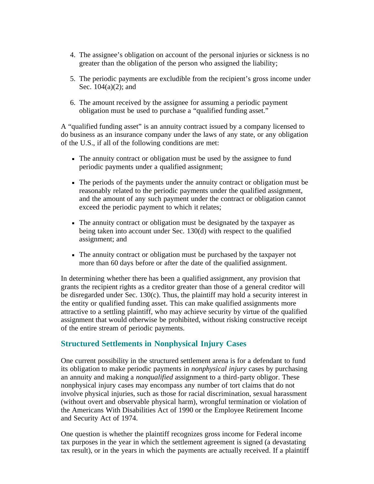- 4. The assignee's obligation on account of the personal injuries or sickness is no greater than the obligation of the person who assigned the liability;
- 5. The periodic payments are excludible from the recipient's gross income under Sec. 104(a)(2); and
- 6. The amount received by the assignee for assuming a periodic payment obligation must be used to purchase a "qualified funding asset."

A "qualified funding asset" is an annuity contract issued by a company licensed to do business as an insurance company under the laws of any state, or any obligation of the U.S., if all of the following conditions are met:

- The annuity contract or obligation must be used by the assignee to fund periodic payments under a qualified assignment;
- The periods of the payments under the annuity contract or obligation must be reasonably related to the periodic payments under the qualified assignment, and the amount of any such payment under the contract or obligation cannot exceed the periodic payment to which it relates;
- The annuity contract or obligation must be designated by the taxpayer as being taken into account under Sec. 130(d) with respect to the qualified assignment; and
- The annuity contract or obligation must be purchased by the taxpayer not more than 60 days before or after the date of the qualified assignment.

In determining whether there has been a qualified assignment, any provision that grants the recipient rights as a creditor greater than those of a general creditor will be disregarded under Sec. 130(c). Thus, the plaintiff may hold a security interest in the entity or qualified funding asset. This can make qualified assignments more attractive to a settling plaintiff, who may achieve security by virtue of the qualified assignment that would otherwise be prohibited, without risking constructive receipt of the entire stream of periodic payments.

## **Structured Settlements in Nonphysical Injury Cases**

One current possibility in the structured settlement arena is for a defendant to fund its obligation to make periodic payments in *nonphysical injury* cases by purchasing an annuity and making a *nonqualified* assignment to a third-party obligor. These nonphysical injury cases may encompass any number of tort claims that do not involve physical injuries, such as those for racial discrimination, sexual harassment (without overt and observable physical harm), wrongful termination or violation of the Americans With Disabilities Act of 1990 or the Employee Retirement Income and Security Act of 1974.

One question is whether the plaintiff recognizes gross income for Federal income tax purposes in the year in which the settlement agreement is signed (a devastating tax result), or in the years in which the payments are actually received. If a plaintiff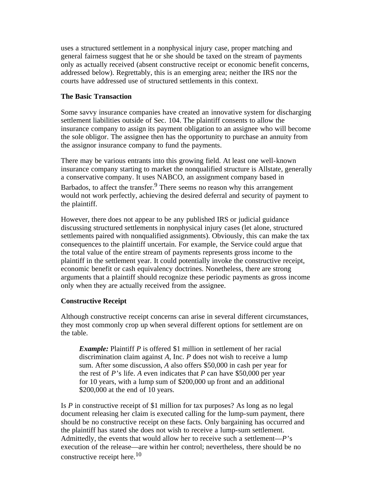uses a structured settlement in a nonphysical injury case, proper matching and general fairness suggest that he or she should be taxed on the stream of payments only as actually received (absent constructive receipt or economic benefit concerns, addressed below). Regrettably, this is an emerging area; neither the IRS nor the courts have addressed use of structured settlements in this context.

#### **The Basic Transaction**

Some savvy insurance companies have created an innovative system for discharging settlement liabilities outside of Sec. 104. The plaintiff consents to allow the insurance company to assign its payment obligation to an assignee who will become the sole obligor. The assignee then has the opportunity to purchase an annuity from the assignor insurance company to fund the payments.

There may be various entrants into this growing field. At least one well-known insurance company starting to market the nonqualified structure is Allstate, generally a conservative company. It uses NABCO, an assignment company based in Barbados, to affect the transfer.<sup>[9](#page-8-8)</sup> There seems no reason why this arrangement would not work perfectly, achieving the desired deferral and security of payment to the plaintiff.

However, there does not appear to be any published IRS or judicial guidance discussing structured settlements in nonphysical injury cases (let alone, structured settlements paired with nonqualified assignments). Obviously, this can make the tax consequences to the plaintiff uncertain. For example, the Service could argue that the total value of the entire stream of payments represents gross income to the plaintiff in the settlement year. It could potentially invoke the constructive receipt, economic benefit or cash equivalency doctrines. Nonetheless, there are strong arguments that a plaintiff should recognize these periodic payments as gross income only when they are actually received from the assignee.

#### **Constructive Receipt**

Although constructive receipt concerns can arise in several different circumstances, they most commonly crop up when several different options for settlement are on the table.

*Example:* Plaintiff *P* is offered \$1 million in settlement of her racial discrimination claim against *A,* Inc. *P* does not wish to receive a lump sum. After some discussion, *A* also offers \$50,000 in cash per year for the rest of *P'*s life. *A* even indicates that *P* can have \$50,000 per year for 10 years, with a lump sum of \$200,000 up front and an additional \$200,000 at the end of 10 years.

Is *P* in constructive receipt of \$1 million for tax purposes? As long as no legal document releasing her claim is executed calling for the lump-sum payment, there should be no constructive receipt on these facts. Only bargaining has occurred and the plaintiff has stated she does not wish to receive a lump-sum settlement. Admittedly, the events that would allow her to receive such a settlement—*P'*s execution of the release—are within her control; nevertheless, there should be no constructive receipt here.<sup>[10](#page-8-9)</sup>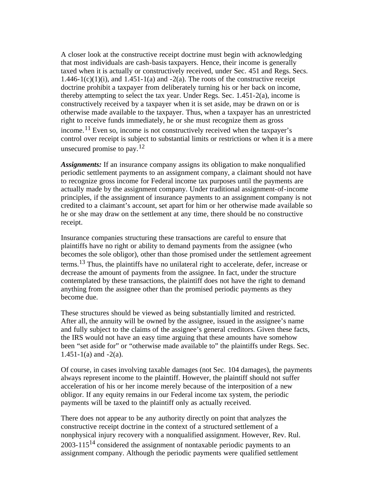A closer look at the constructive receipt doctrine must begin with acknowledging that most individuals are cash-basis taxpayers. Hence, their income is generally taxed when it is actually or constructively received, under Sec. 451 and Regs. Secs. 1.446-1(c)(1)(i), and 1.451-1(a) and -2(a). The roots of the constructive receipt doctrine prohibit a taxpayer from deliberately turning his or her back on income, thereby attempting to select the tax year. Under Regs. Sec. 1.451-2(a), income is constructively received by a taxpayer when it is set aside, may be drawn on or is otherwise made available to the taxpayer. Thus, when a taxpayer has an unrestricted right to receive funds immediately, he or she must recognize them as gross income.<sup>11</sup> Even so, income is not constructively received when the taxpayer's control over receipt is subject to substantial limits or restrictions or when it is a mere unsecured promise to pay.  $12$ 

*Assignments:* If an insurance company assigns its obligation to make nonqualified periodic settlement payments to an assignment company, a claimant should not have to recognize gross income for Federal income tax purposes until the payments are actually made by the assignment company. Under traditional assignment-of-income principles, if the assignment of insurance payments to an assignment company is not credited to a claimant's account, set apart for him or her otherwise made available so he or she may draw on the settlement at any time, there should be no constructive receipt.

Insurance companies structuring these transactions are careful to ensure that plaintiffs have no right or ability to demand payments from the assignee (who becomes the sole obligor), other than those promised under the settlement agreement terms.<sup>13</sup> Thus, the plaintiffs have no unilateral right to accelerate, defer, increase or decrease the amount of payments from the assignee. In fact, under the structure contemplated by these transactions, the plaintiff does not have the right to demand anything from the assignee other than the promised periodic payments as they become due.

These structures should be viewed as being substantially limited and restricted. After all, the annuity will be owned by the assignee, issued in the assignee's name and fully subject to the claims of the assignee's general creditors. Given these facts, the IRS would not have an easy time arguing that these amounts have somehow been "set aside for" or "otherwise made available to" the plaintiffs under Regs. Sec.  $1.451 - 1(a)$  and  $-2(a)$ .

Of course, in cases involving taxable damages (not Sec. 104 damages), the payments always represent income to the plaintiff. However, the plaintiff should not suffer acceleration of his or her income merely because of the interposition of a new obligor. If any equity remains in our Federal income tax system, the periodic payments will be taxed to the plaintiff only as actually received.

There does not appear to be any authority directly on point that analyzes the constructive receipt doctrine in the context of a structured settlement of a nonphysical injury recovery with a nonqualified assignment. However, Rev. Rul. 2003-115<sup>[14](#page-8-13)</sup> considered the assignment of nontaxable periodic payments to an assignment company. Although the periodic payments were qualified settlement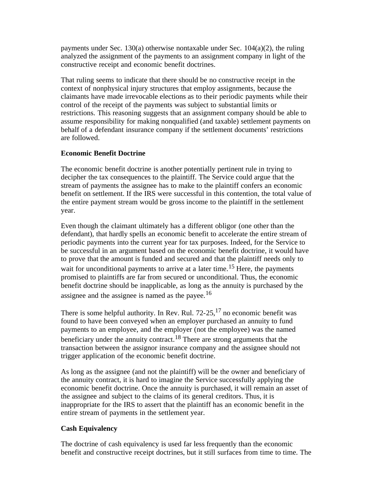payments under Sec. 130(a) otherwise nontaxable under Sec. 104(a)(2), the ruling analyzed the assignment of the payments to an assignment company in light of the constructive receipt and economic benefit doctrines.

That ruling seems to indicate that there should be no constructive receipt in the context of nonphysical injury structures that employ assignments, because the claimants have made irrevocable elections as to their periodic payments while their control of the receipt of the payments was subject to substantial limits or restrictions. This reasoning suggests that an assignment company should be able to assume responsibility for making nonqualified (and taxable) settlement payments on behalf of a defendant insurance company if the settlement documents' restrictions are followed.

#### **Economic Benefit Doctrine**

The economic benefit doctrine is another potentially pertinent rule in trying to decipher the tax consequences to the plaintiff. The Service could argue that the stream of payments the assignee has to make to the plaintiff confers an economic benefit on settlement. If the IRS were successful in this contention, the total value of the entire payment stream would be gross income to the plaintiff in the settlement year.

Even though the claimant ultimately has a different obligor (one other than the defendant), that hardly spells an economic benefit to accelerate the entire stream of periodic payments into the current year for tax purposes. Indeed, for the Service to be successful in an argument based on the economic benefit doctrine, it would have to prove that the amount is funded and secured and that the plaintiff needs only to wait for unconditional payments to arrive at a later time.<sup>[15](#page-8-14)</sup> Here, the payments promised to plaintiffs are far from secured or unconditional. Thus, the economic benefit doctrine should be inapplicable, as long as the annuity is purchased by the assignee and the assignee is named as the payee.<sup>[16](#page-8-15)</sup>

There is some helpful authority. In Rev. Rul.  $72-25$ ,  $17$  no economic benefit was found to have been conveyed when an employer purchased an annuity to fund payments to an employee, and the employer (not the employee) was the named beneficiary under the annuity contract.<sup>18</sup> There are strong arguments that the transaction between the assignor insurance company and the assignee should not trigger application of the economic benefit doctrine.

As long as the assignee (and not the plaintiff) will be the owner and beneficiary of the annuity contract, it is hard to imagine the Service successfully applying the economic benefit doctrine. Once the annuity is purchased, it will remain an asset of the assignee and subject to the claims of its general creditors. Thus, it is inappropriate for the IRS to assert that the plaintiff has an economic benefit in the entire stream of payments in the settlement year.

#### **Cash Equivalency**

The doctrine of cash equivalency is used far less frequently than the economic benefit and constructive receipt doctrines, but it still surfaces from time to time. The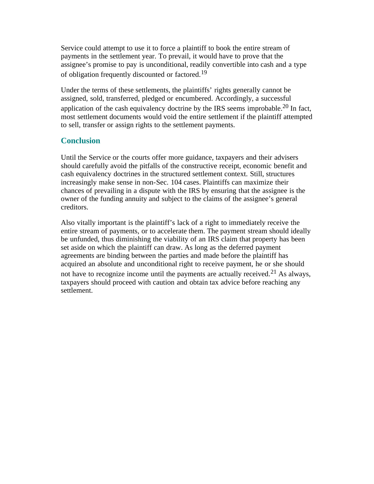Service could attempt to use it to force a plaintiff to book the entire stream of payments in the settlement year. To prevail, it would have to prove that the assignee's promise to pay is unconditional, readily convertible into cash and a type of obligation frequently discounted or factored.<sup>[19](#page-9-2)</sup>

Under the terms of these settlements, the plaintiffs' rights generally cannot be assigned, sold, transferred, pledged or encumbered. Accordingly, a successful application of the cash equivalency doctrine by the IRS seems improbable.<sup>20</sup> In fact, most settlement documents would void the entire settlement if the plaintiff attempted to sell, transfer or assign rights to the settlement payments.

## **Conclusion**

Until the Service or the courts offer more guidance, taxpayers and their advisers should carefully avoid the pitfalls of the constructive receipt, economic benefit and cash equivalency doctrines in the structured settlement context. Still, structures increasingly make sense in non-Sec. 104 cases. Plaintiffs can maximize their chances of prevailing in a dispute with the IRS by ensuring that the assignee is the owner of the funding annuity and subject to the claims of the assignee's general creditors.

Also vitally important is the plaintiff's lack of a right to immediately receive the entire stream of payments, or to accelerate them. The payment stream should ideally be unfunded, thus diminishing the viability of an IRS claim that property has been set aside on which the plaintiff can draw. As long as the deferred payment agreements are binding between the parties and made before the plaintiff has acquired an absolute and unconditional right to receive payment, he or she should not have to recognize income until the payments are actually received.<sup>[21](#page-9-4)</sup> As always, taxpayers should proceed with caution and obtain tax advice before reaching any settlement.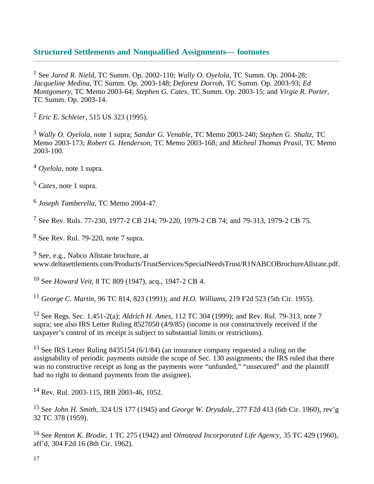## **Structured Settlements and Nonqualified Assignments— footnotes**

<span id="page-8-0"></span>1 See *Jared R. Nield,* TC Summ. Op. 2002-110; *Wally O. Oyelola,* TC Summ. Op. 2004-28; *Jacqueline Medina*, TC Summ*.* Op. 2003-148; *Deforest Dorroh,* TC Summ. Op. 2003-93; *Ed Montgomery,* TC Memo 2003-64; *Stephen G. Cates,* TC Summ. Op. 2003-15; and *Virgie R. Porter,* TC Summ. Op. 2003-14.

<span id="page-8-1"></span><sup>2</sup> *Eric E. Schleier,* 515 US 323 (1995).

<span id="page-8-2"></span><sup>3</sup> *Wally O. Oyelola,* note 1 supra; *Sandar G. Venable,* TC Memo 2003-240; *Stephen G. Shaltz,* TC Memo 2003-173; *Robert G. Henderson,* TC Memo 2003-168; and *Micheal Thomas Prasil,* TC Memo 2003-100.

<span id="page-8-3"></span><sup>4</sup> *Oyelola,* note 1 supra.

<span id="page-8-4"></span><sup>5</sup> *Cates*, note 1 supra.

<span id="page-8-5"></span><sup>6</sup> *Joseph Tamberella,* TC Memo 2004-47.

<span id="page-8-6"></span>7 See Rev. Ruls. 77-230, 1977-2 CB 214; 79-220, 1979-2 CB 74; and 79-313, 1979-2 CB 75.

<span id="page-8-7"></span>8 See Rev. Rul. 79-220, note 7 supra.

<span id="page-8-8"></span>9 See, e.g., Nabco Allstate brochure, at [www.deltasettlements.com/Products/TrustServices/SpecialNeedsTrust/R1NABCOBrochureAllstate.pdf.](http://www.deltasettlements.com/Products/TrustServices/SpecialNeedsTrust/R1NABCOBrochureAllstate.pdf)

<span id="page-8-9"></span>10 See *Howard Veit,* 8 TC 809 (1947), acq., 1947-2 CB 4.

<span id="page-8-10"></span><sup>11</sup> *George C. Martin,* 96 TC 814, 823 (1991); and *H.O. Williams,* 219 F2d 523 (5th Cir. 1955).

<span id="page-8-11"></span>12 See Regs. Sec. 1.451-2(a); *Aldrich H. Ames,* 112 TC 304 (1999); and Rev. Rul. 79-313, note 7 supra; see also IRS Letter Ruling 8527050 (4/9/85) (income is not constructively received if the taxpayer's control of its receipt is subject to substantial limits or restrictions).

<span id="page-8-12"></span><sup>13</sup> See IRS Letter Ruling 8435154 (6/1/84) (an insurance company requested a ruling on the assignability of periodic payments outside the scope of Sec. 130 assignments; the IRS ruled that there was no constructive receipt as long as the payments were "unfunded," "unsecured" and the plaintiff had no right to demand payments from the assignee).

<span id="page-8-13"></span>14 Rev. Rul. 2003-115, IRB 2003-46, 1052.

<span id="page-8-14"></span>15 See *John H. Smith,* 324 US 177 (1945) and *George W. Drysdale,* 277 F2d 413 (6th Cir. 1960), rev'g 32 TC 378 (1959).

<span id="page-8-15"></span>16 See *Renton K. Brodie,* 1 TC 275 (1942) and *Olmstead Incorporated Life Agency,* 35 TC 429 (1960), aff'd, 304 F2d 16 (8th Cir. 1962).